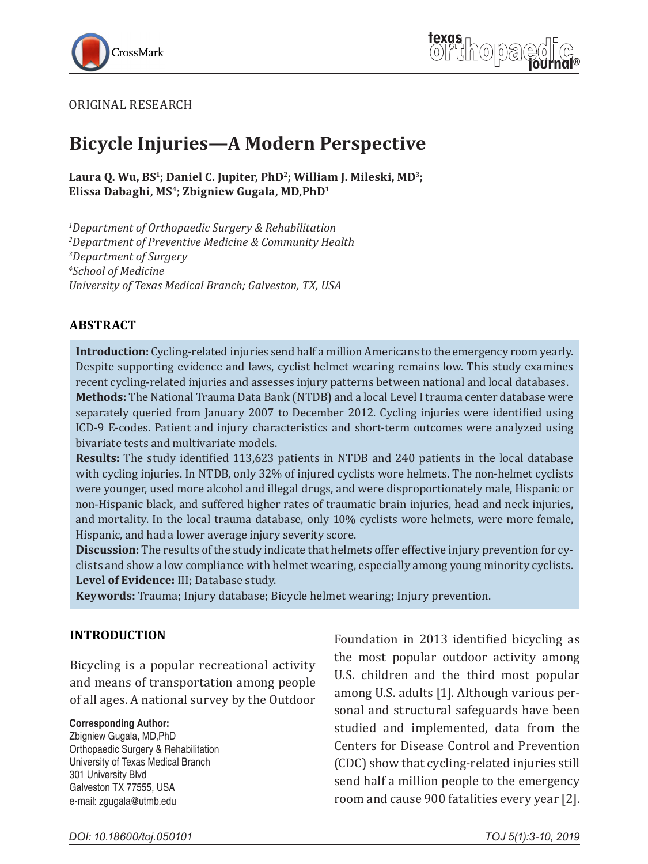



#### ORIGINAL RESEARCH

# **Bicycle Injuries—A Modern Perspective**

Laura Q. Wu, BS<sup>1</sup>; Daniel C. Jupiter, PhD<sup>2</sup>; William J. Mileski, MD<sup>3</sup>; **Elissa Dabaghi, MS4; Zbigniew Gugala, MD,PhD1** 

 *Department of Orthopaedic Surgery & Rehabilitation Department of Preventive Medicine & Community Health Department of Surgery School of Medicine University of Texas Medical Branch; Galveston, TX, USA*

#### **ABSTRACT**

**Introduction:** Cycling-related injuries send half a million Americans to the emergency room yearly. Despite supporting evidence and laws, cyclist helmet wearing remains low. This study examines recent cycling-related injuries and assesses injury patterns between national and local databases. **Methods:** The National Trauma Data Bank (NTDB) and a local Level I trauma center database were separately queried from January 2007 to December 2012. Cycling injuries were identified using ICD-9 E-codes. Patient and injury characteristics and short-term outcomes were analyzed using bivariate tests and multivariate models.

**Results:** The study identified 113,623 patients in NTDB and 240 patients in the local database with cycling injuries. In NTDB, only 32% of injured cyclists wore helmets. The non-helmet cyclists were younger, used more alcohol and illegal drugs, and were disproportionately male, Hispanic or non-Hispanic black, and suffered higher rates of traumatic brain injuries, head and neck injuries, and mortality. In the local trauma database, only 10% cyclists wore helmets, were more female, Hispanic, and had a lower average injury severity score.

**Discussion:** The results of the study indicate that helmets offer effective injury prevention for cyclists and show a low compliance with helmet wearing, especially among young minority cyclists. **Level of Evidence:** III; Database study.

**Keywords:** Trauma; Injury database; Bicycle helmet wearing; Injury prevention.

#### **INTRODUCTION**

Bicycling is a popular recreational activity and means of transportation among people of all ages. A national survey by the Outdoor

**Corresponding Author:**

Zbigniew Gugala, MD,PhD Orthopaedic Surgery & Rehabilitation University of Texas Medical Branch 301 University Blvd Galveston TX 77555, USA e-mail: zgugala@utmb.edu

Foundation in 2013 identified bicycling as the most popular outdoor activity among U.S. children and the third most popular among U.S. adults [1]. Although various personal and structural safeguards have been studied and implemented, data from the Centers for Disease Control and Prevention (CDC) show that cycling-related injuries still send half a million people to the emergency room and cause 900 fatalities every year [2].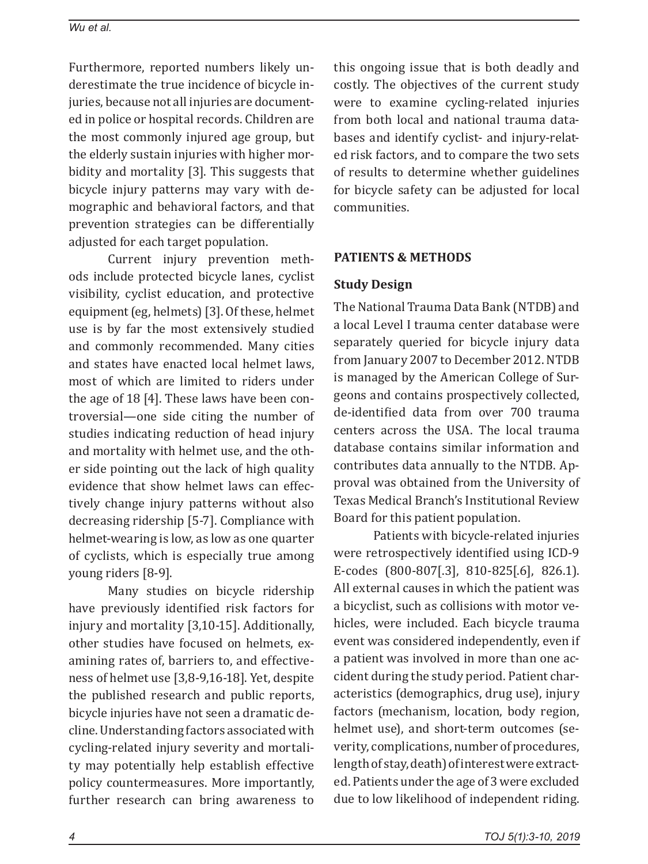Furthermore, reported numbers likely underestimate the true incidence of bicycle injuries, because not all injuries are documented in police or hospital records. Children are the most commonly injured age group, but the elderly sustain injuries with higher morbidity and mortality [3]. This suggests that bicycle injury patterns may vary with demographic and behavioral factors, and that prevention strategies can be differentially adjusted for each target population.

Current injury prevention methods include protected bicycle lanes, cyclist visibility, cyclist education, and protective equipment (eg, helmets) [3]. Of these, helmet use is by far the most extensively studied and commonly recommended. Many cities and states have enacted local helmet laws, most of which are limited to riders under the age of 18 [4]. These laws have been controversial—one side citing the number of studies indicating reduction of head injury and mortality with helmet use, and the other side pointing out the lack of high quality evidence that show helmet laws can effectively change injury patterns without also decreasing ridership [5-7]. Compliance with helmet-wearing is low, as low as one quarter of cyclists, which is especially true among young riders [8-9].

Many studies on bicycle ridership have previously identified risk factors for injury and mortality [3,10-15]. Additionally, other studies have focused on helmets, examining rates of, barriers to, and effectiveness of helmet use [3,8-9,16-18]. Yet, despite the published research and public reports, bicycle injuries have not seen a dramatic decline. Understanding factors associated with cycling-related injury severity and mortality may potentially help establish effective policy countermeasures. More importantly, further research can bring awareness to this ongoing issue that is both deadly and costly. The objectives of the current study were to examine cycling-related injuries from both local and national trauma databases and identify cyclist- and injury-related risk factors, and to compare the two sets of results to determine whether guidelines for bicycle safety can be adjusted for local communities.

## **PATIENTS & METHODS**

## **Study Design**

The National Trauma Data Bank (NTDB) and a local Level I trauma center database were separately queried for bicycle injury data from January 2007 to December 2012. NTDB is managed by the American College of Surgeons and contains prospectively collected, de-identified data from over 700 trauma centers across the USA. The local trauma database contains similar information and contributes data annually to the NTDB. Approval was obtained from the University of Texas Medical Branch's Institutional Review Board for this patient population.

Patients with bicycle-related injuries were retrospectively identified using ICD-9 E-codes (800-807[.3], 810-825[.6], 826.1). All external causes in which the patient was a bicyclist, such as collisions with motor vehicles, were included. Each bicycle trauma event was considered independently, even if a patient was involved in more than one accident during the study period. Patient characteristics (demographics, drug use), injury factors (mechanism, location, body region, helmet use), and short-term outcomes (severity, complications, number of procedures, length of stay, death) of interest were extracted. Patients under the age of 3 were excluded due to low likelihood of independent riding.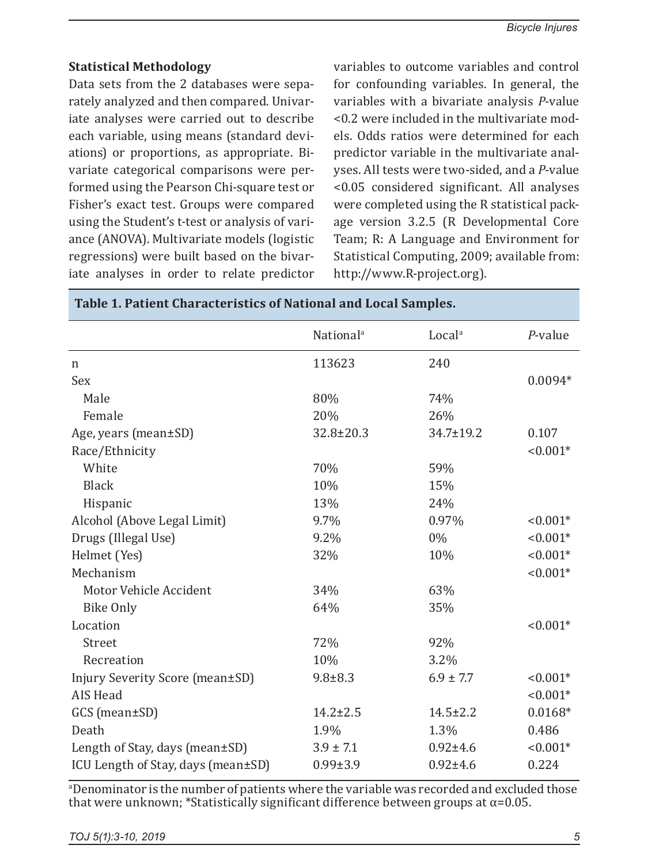## **Statistical Methodology**

Data sets from the 2 databases were separately analyzed and then compared. Univariate analyses were carried out to describe each variable, using means (standard deviations) or proportions, as appropriate. Bivariate categorical comparisons were performed using the Pearson Chi-square test or Fisher's exact test. Groups were compared using the Student's t-test or analysis of variance (ANOVA). Multivariate models (logistic regressions) were built based on the bivariate analyses in order to relate predictor

variables to outcome variables and control for confounding variables. In general, the variables with a bivariate analysis *P*-value <0.2 were included in the multivariate models. Odds ratios were determined for each predictor variable in the multivariate analyses. All tests were two-sided, and a *P*-value <0.05 considered significant. All analyses were completed using the R statistical package version 3.2.5 (R Developmental Core Team; R: A Language and Environment for Statistical Computing, 2009; available from: http://www.R-project.org).

|                                    | National <sup>a</sup> | Local <sup>a</sup> | $P$ -value |
|------------------------------------|-----------------------|--------------------|------------|
| n                                  | 113623                | 240                |            |
| Sex                                |                       |                    | $0.0094*$  |
| Male                               | 80%                   | 74%                |            |
| Female                             | 20%                   | 26%                |            |
| Age, years (mean±SD)               | $32.8 \pm 20.3$       | 34.7±19.2          | 0.107      |
| Race/Ethnicity                     |                       |                    | $< 0.001*$ |
| White                              | 70%                   | 59%                |            |
| <b>Black</b>                       | 10%                   | 15%                |            |
| Hispanic                           | 13%                   | 24%                |            |
| Alcohol (Above Legal Limit)        | 9.7%                  | 0.97%              | $< 0.001*$ |
| Drugs (Illegal Use)                | 9.2%                  | 0%                 | $< 0.001*$ |
| Helmet (Yes)                       | 32%                   | 10%                | $< 0.001*$ |
| Mechanism                          |                       |                    | $< 0.001*$ |
| Motor Vehicle Accident             | 34%                   | 63%                |            |
| <b>Bike Only</b>                   | 64%                   | 35%                |            |
| Location                           |                       |                    | $< 0.001*$ |
| Street                             | 72%                   | 92%                |            |
| Recreation                         | 10%                   | 3.2%               |            |
| Injury Severity Score (mean±SD)    | $9.8 + 8.3$           | $6.9 \pm 7.7$      | $< 0.001*$ |
| <b>AIS Head</b>                    |                       |                    | $< 0.001*$ |
| GCS (mean±SD)                      | $14.2 \pm 2.5$        | $14.5 \pm 2.2$     | $0.0168*$  |
| Death                              | 1.9%                  | 1.3%               | 0.486      |
| Length of Stay, days (mean±SD)     | $3.9 \pm 7.1$         | $0.92 \pm 4.6$     | $< 0.001*$ |
| ICU Length of Stay, days (mean±SD) | $0.99 \pm 3.9$        | $0.92 \pm 4.6$     | 0.224      |
|                                    |                       |                    |            |

## **Table 1. Patient Characteristics of National and Local Samples.**

aDenominator is the number of patients where the variable was recorded and excluded those that were unknown; \*Statistically significant difference between groups at  $\alpha$ =0.05.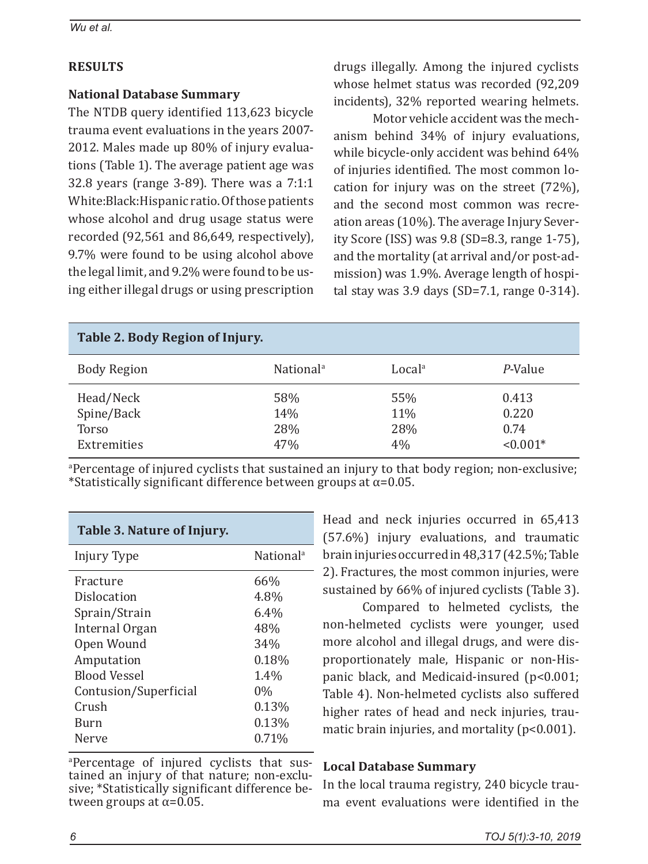# **RESULTS**

## **National Database Summary**

The NTDB query identified 113,623 bicycle trauma event evaluations in the years 2007- 2012. Males made up 80% of injury evaluations (Table 1). The average patient age was 32.8 years (range 3-89). There was a 7:1:1 White:Black:Hispanic ratio. Of those patients whose alcohol and drug usage status were recorded (92,561 and 86,649, respectively), 9.7% were found to be using alcohol above the legal limit, and 9.2% were found to be using either illegal drugs or using prescription drugs illegally. Among the injured cyclists whose helmet status was recorded (92,209 incidents), 32% reported wearing helmets.

Motor vehicle accident was the mechanism behind 34% of injury evaluations, while bicycle-only accident was behind 64% of injuries identified. The most common location for injury was on the street (72%), and the second most common was recreation areas (10%). The average Injury Severity Score (ISS) was 9.8 (SD=8.3, range 1-75), and the mortality (at arrival and/or post-admission) was 1.9%. Average length of hospital stay was 3.9 days (SD=7.1, range 0-314).

| Table 2. Body Region of Injury.                        |                          |                         |                                      |  |  |  |
|--------------------------------------------------------|--------------------------|-------------------------|--------------------------------------|--|--|--|
| <b>Body Region</b>                                     | National <sup>a</sup>    | Local <sup>a</sup>      | P-Value                              |  |  |  |
| Head/Neck<br>Spine/Back<br><b>Torso</b><br>Extremities | 58%<br>14%<br>28%<br>47% | 55%<br>11%<br>28%<br>4% | 0.413<br>0.220<br>0.74<br>$< 0.001*$ |  |  |  |

a Percentage of injured cyclists that sustained an injury to that body region; non-exclusive; \*Statistically significant difference between groups at  $\alpha$ =0.05.

| Table 3. Nature of Injury. |                       |  |  |  |  |
|----------------------------|-----------------------|--|--|--|--|
| Injury Type                | National <sup>a</sup> |  |  |  |  |
| Fracture                   | 66%                   |  |  |  |  |
| Dislocation                | 4.8%                  |  |  |  |  |
| Sprain/Strain              | $6.4\%$               |  |  |  |  |
| Internal Organ             | 48%                   |  |  |  |  |
| Open Wound                 | 34%                   |  |  |  |  |
| Amputation                 | 0.18%                 |  |  |  |  |
| <b>Blood Vessel</b>        | 1.4%                  |  |  |  |  |
| Contusion/Superficial      | 0%                    |  |  |  |  |
| Crush                      | 0.13%                 |  |  |  |  |
| Burn                       | 0.13%                 |  |  |  |  |
| Nerve                      | 0.71%                 |  |  |  |  |

a Percentage of injured cyclists that sustained an injury of that nature; non-exclusive; \*Statistically significant difference be-<br>tween groups at  $α=0.05$ . Head and neck injuries occurred in 65,413 (57.6%) injury evaluations, and traumatic brain injuries occurred in 48,317 (42.5%; Table 2). Fractures, the most common injuries, were sustained by 66% of injured cyclists (Table 3).

Compared to helmeted cyclists, the non-helmeted cyclists were younger, used more alcohol and illegal drugs, and were disproportionately male, Hispanic or non-Hispanic black, and Medicaid-insured (p<0.001; Table 4). Non-helmeted cyclists also suffered higher rates of head and neck injuries, traumatic brain injuries, and mortality ( $p<0.001$ ).

## **Local Database Summary**

In the local trauma registry, 240 bicycle trauma event evaluations were identified in the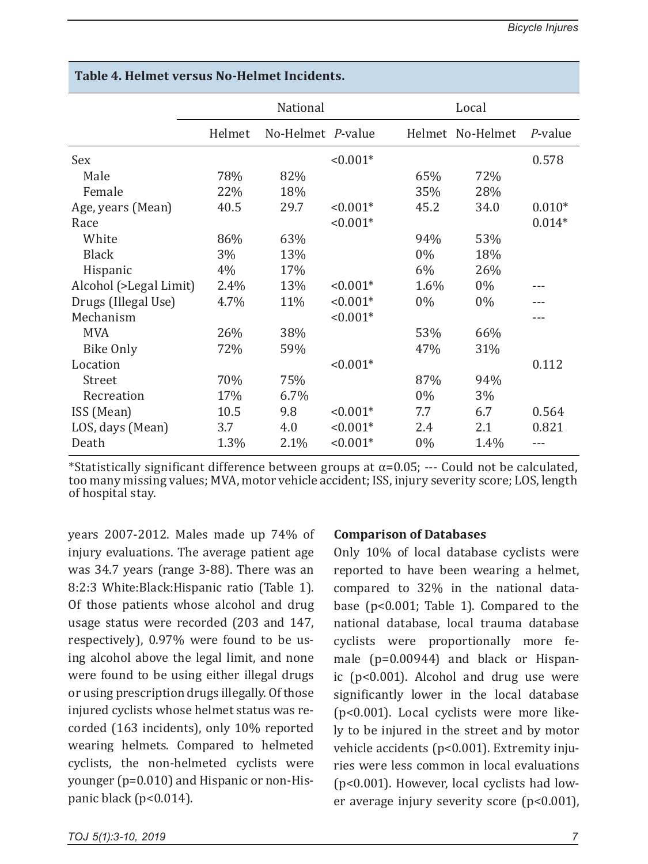|                        | National |                   | Local      |       |                  |          |
|------------------------|----------|-------------------|------------|-------|------------------|----------|
|                        | Helmet   | No-Helmet P-value |            |       | Helmet No-Helmet | P-value  |
| <b>Sex</b>             |          |                   | $< 0.001*$ |       |                  | 0.578    |
| Male                   | 78%      | 82%               |            | 65%   | 72%              |          |
| Female                 | 22%      | 18%               |            | 35%   | 28%              |          |
| Age, years (Mean)      | 40.5     | 29.7              | $< 0.001*$ | 45.2  | 34.0             | $0.010*$ |
| Race                   |          |                   | $< 0.001*$ |       |                  | $0.014*$ |
| White                  | 86%      | 63%               |            | 94%   | 53%              |          |
| <b>Black</b>           | 3%       | 13%               |            | $0\%$ | 18%              |          |
| Hispanic               | 4%       | 17%               |            | $6\%$ | 26%              |          |
| Alcohol (>Legal Limit) | 2.4%     | 13%               | $< 0.001*$ | 1.6%  | $0\%$            |          |
| Drugs (Illegal Use)    | 4.7%     | 11%               | $< 0.001*$ | $0\%$ | $0\%$            |          |
| Mechanism              |          |                   | $< 0.001*$ |       |                  |          |
| <b>MVA</b>             | 26%      | 38%               |            | 53%   | 66%              |          |
| <b>Bike Only</b>       | 72%      | 59%               |            | 47%   | 31%              |          |
| Location               |          |                   | $< 0.001*$ |       |                  | 0.112    |
| Street                 | 70%      | 75%               |            | 87%   | 94%              |          |
| Recreation             | 17%      | 6.7%              |            | $0\%$ | 3%               |          |
| ISS (Mean)             | 10.5     | 9.8               | $< 0.001*$ | 7.7   | 6.7              | 0.564    |
| LOS, days (Mean)       | 3.7      | 4.0               | $< 0.001*$ | 2.4   | 2.1              | 0.821    |
| Death                  | 1.3%     | 2.1%              | $< 0.001*$ | $0\%$ | 1.4%             |          |

# **Table 4. Helmet versus No-Helmet Incidents.**

\*Statistically significant difference between groups at  $\alpha$ =0.05; --- Could not be calculated, too many missing values; MVA, motor vehicle accident; ISS, injury severity score; LOS, length of hospital stay.

years 2007-2012. Males made up 74% of injury evaluations. The average patient age was 34.7 years (range 3-88). There was an 8:2:3 White:Black:Hispanic ratio (Table 1). Of those patients whose alcohol and drug usage status were recorded (203 and 147, respectively), 0.97% were found to be using alcohol above the legal limit, and none were found to be using either illegal drugs or using prescription drugs illegally. Of those injured cyclists whose helmet status was recorded (163 incidents), only 10% reported wearing helmets. Compared to helmeted cyclists, the non-helmeted cyclists were younger (p=0.010) and Hispanic or non-Hispanic black (p<0.014).

## **Comparison of Databases**

Only 10% of local database cyclists were reported to have been wearing a helmet, compared to 32% in the national database (p<0.001; Table 1). Compared to the national database, local trauma database cyclists were proportionally more female (p=0.00944) and black or Hispanic (p<0.001). Alcohol and drug use were significantly lower in the local database (p<0.001). Local cyclists were more likely to be injured in the street and by motor vehicle accidents (p<0.001). Extremity injuries were less common in local evaluations (p<0.001). However, local cyclists had lower average injury severity score (p<0.001),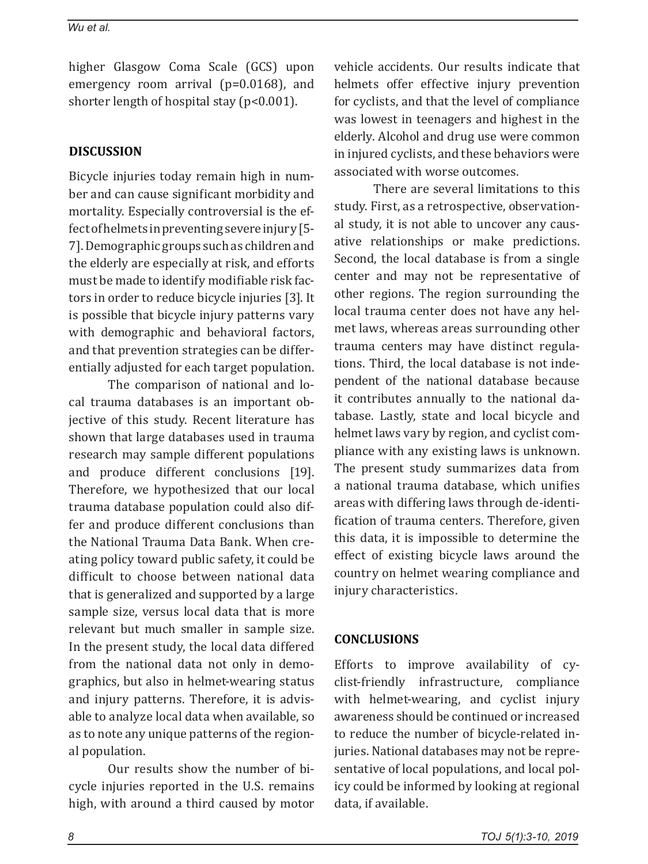#### *Wu et al.*

higher Glasgow Coma Scale (GCS) upon emergency room arrival (p=0.0168), and shorter length of hospital stay (p<0.001).

## **DISCUSSION**

Bicycle injuries today remain high in number and can cause significant morbidity and mortality. Especially controversial is the effect of helmets in preventing severe injury [5- 7]. Demographic groups such as children and the elderly are especially at risk, and efforts must be made to identify modifiable risk factors in order to reduce bicycle injuries [3]. It is possible that bicycle injury patterns vary with demographic and behavioral factors, and that prevention strategies can be differentially adjusted for each target population.

The comparison of national and local trauma databases is an important objective of this study. Recent literature has shown that large databases used in trauma research may sample different populations and produce different conclusions [19]. Therefore, we hypothesized that our local trauma database population could also differ and produce different conclusions than the National Trauma Data Bank. When creating policy toward public safety, it could be difficult to choose between national data that is generalized and supported by a large sample size, versus local data that is more relevant but much smaller in sample size. In the present study, the local data differed from the national data not only in demographics, but also in helmet-wearing status and injury patterns. Therefore, it is advisable to analyze local data when available, so as to note any unique patterns of the regional population.

Our results show the number of bicycle injuries reported in the U.S. remains high, with around a third caused by motor vehicle accidents. Our results indicate that helmets offer effective injury prevention for cyclists, and that the level of compliance was lowest in teenagers and highest in the elderly. Alcohol and drug use were common in injured cyclists, and these behaviors were associated with worse outcomes.

There are several limitations to this study. First, as a retrospective, observational study, it is not able to uncover any causative relationships or make predictions. Second, the local database is from a single center and may not be representative of other regions. The region surrounding the local trauma center does not have any helmet laws, whereas areas surrounding other trauma centers may have distinct regulations. Third, the local database is not independent of the national database because it contributes annually to the national database. Lastly, state and local bicycle and helmet laws vary by region, and cyclist compliance with any existing laws is unknown. The present study summarizes data from a national trauma database, which unifies areas with differing laws through de-identification of trauma centers. Therefore, given this data, it is impossible to determine the effect of existing bicycle laws around the country on helmet wearing compliance and injury characteristics.

## **CONCLUSIONS**

Efforts to improve availability of cyclist-friendly infrastructure, compliance with helmet-wearing, and cyclist injury awareness should be continued or increased to reduce the number of bicycle-related injuries. National databases may not be representative of local populations, and local policy could be informed by looking at regional data, if available.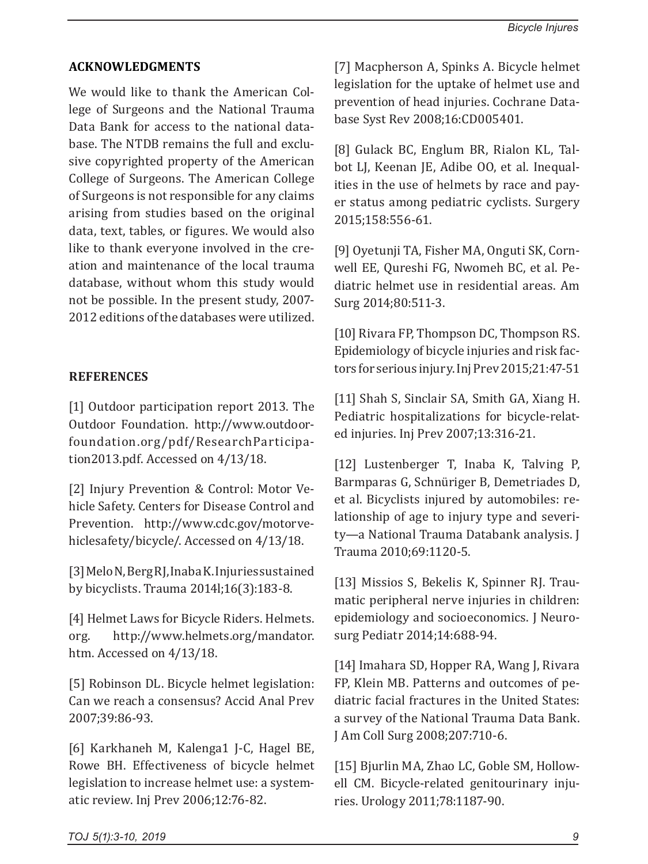## **ACKNOWLEDGMENTS**

We would like to thank the American College of Surgeons and the National Trauma Data Bank for access to the national database. The NTDB remains the full and exclusive copyrighted property of the American College of Surgeons. The American College of Surgeons is not responsible for any claims arising from studies based on the original data, text, tables, or figures. We would also like to thank everyone involved in the creation and maintenance of the local trauma database, without whom this study would not be possible. In the present study, 2007- 2012 editions of the databases were utilized.

## **REFERENCES**

[1] Outdoor participation report 2013. The Outdoor Foundation. http://www.outdoorfoundation.org/pdf/ResearchParticipation2013.pdf. Accessed on 4/13/18.

[2] Injury Prevention & Control: Motor Vehicle Safety. Centers for Disease Control and Prevention. http://www.cdc.gov/motorvehiclesafety/bicycle/. Accessed on 4/13/18.

[3] Melo N, Berg RJ, Inaba K. Injuries sustained by bicyclists. Trauma 2014l;16(3):183-8.

[4] Helmet Laws for Bicycle Riders. Helmets. org. http://www.helmets.org/mandator. htm. Accessed on 4/13/18.

[5] Robinson DL. Bicycle helmet legislation: Can we reach a consensus? Accid Anal Prev 2007;39:86-93.

[6] Karkhaneh M, Kalenga1 J-C, Hagel BE, Rowe BH. Effectiveness of bicycle helmet legislation to increase helmet use: a systematic review. Inj Prev 2006;12:76-82.

[7] Macpherson A, Spinks A. Bicycle helmet legislation for the uptake of helmet use and prevention of head injuries. Cochrane Database Syst Rev 2008;16:CD005401.

[8] Gulack BC, Englum BR, Rialon KL, Talbot LJ, Keenan JE, Adibe OO, et al. Inequalities in the use of helmets by race and payer status among pediatric cyclists. Surgery 2015;158:556-61.

[9] Oyetunji TA, Fisher MA, Onguti SK, Cornwell EE, Qureshi FG, Nwomeh BC, et al. Pediatric helmet use in residential areas. Am Surg 2014;80:511-3.

[10] Rivara FP, Thompson DC, Thompson RS. Epidemiology of bicycle injuries and risk factors for serious injury. Inj Prev 2015;21:47-51

[11] Shah S, Sinclair SA, Smith GA, Xiang H. Pediatric hospitalizations for bicycle-related injuries. Inj Prev 2007;13:316-21.

[12] Lustenberger T, Inaba K, Talving P, Barmparas G, Schnüriger B, Demetriades D, et al. Bicyclists injured by automobiles: relationship of age to injury type and severity—a National Trauma Databank analysis. J Trauma 2010;69:1120-5.

[13] Missios S, Bekelis K, Spinner RJ. Traumatic peripheral nerve injuries in children: epidemiology and socioeconomics. J Neurosurg Pediatr 2014;14:688-94.

[14] Imahara SD, Hopper RA, Wang J, Rivara FP, Klein MB. Patterns and outcomes of pediatric facial fractures in the United States: a survey of the National Trauma Data Bank. J Am Coll Surg 2008;207:710-6.

[15] Bjurlin MA, Zhao LC, Goble SM, Hollowell CM. Bicycle-related genitourinary injuries. Urology 2011;78:1187-90.